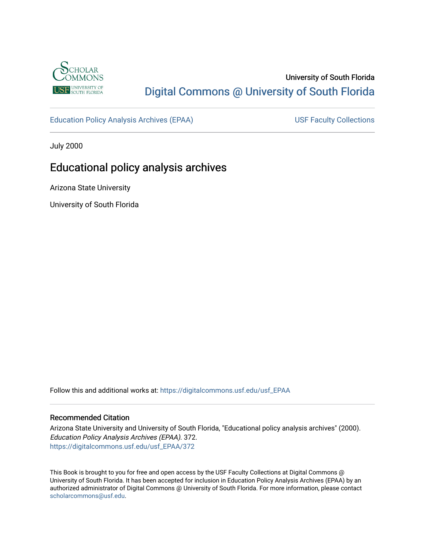

# University of South Florida [Digital Commons @ University of South Florida](https://digitalcommons.usf.edu/)

[Education Policy Analysis Archives \(EPAA\)](https://digitalcommons.usf.edu/usf_EPAA) USF Faculty Collections

July 2000

# Educational policy analysis archives

Arizona State University

University of South Florida

Follow this and additional works at: [https://digitalcommons.usf.edu/usf\\_EPAA](https://digitalcommons.usf.edu/usf_EPAA?utm_source=digitalcommons.usf.edu%2Fusf_EPAA%2F372&utm_medium=PDF&utm_campaign=PDFCoverPages)

### Recommended Citation

Arizona State University and University of South Florida, "Educational policy analysis archives" (2000). Education Policy Analysis Archives (EPAA). 372. [https://digitalcommons.usf.edu/usf\\_EPAA/372](https://digitalcommons.usf.edu/usf_EPAA/372?utm_source=digitalcommons.usf.edu%2Fusf_EPAA%2F372&utm_medium=PDF&utm_campaign=PDFCoverPages)

This Book is brought to you for free and open access by the USF Faculty Collections at Digital Commons @ University of South Florida. It has been accepted for inclusion in Education Policy Analysis Archives (EPAA) by an authorized administrator of Digital Commons @ University of South Florida. For more information, please contact [scholarcommons@usf.edu.](mailto:scholarcommons@usf.edu)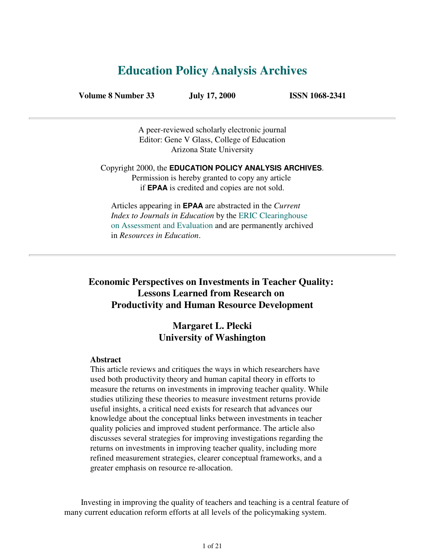# **Education Policy Analysis Archives**

**Volume 8 Number 33 July 17, 2000 ISSN 1068-2341**

A peer-reviewed scholarly electronic journal Editor: Gene V Glass, College of Education Arizona State University

Copyright 2000, the **EDUCATION POLICY ANALYSIS ARCHIVES**. Permission is hereby granted to copy any article if **EPAA** is credited and copies are not sold.

Articles appearing in **EPAA** are abstracted in the *Current Index to Journals in Education* by the ERIC Clearinghouse on Assessment and Evaluation and are permanently archived in *Resources in Education*.

# **Economic Perspectives on Investments in Teacher Quality: Lessons Learned from Research on Productivity and Human Resource Development**

# **Margaret L. Plecki University of Washington**

### **Abstract**

This article reviews and critiques the ways in which researchers have used both productivity theory and human capital theory in efforts to measure the returns on investments in improving teacher quality. While studies utilizing these theories to measure investment returns provide useful insights, a critical need exists for research that advances our knowledge about the conceptual links between investments in teacher quality policies and improved student performance. The article also discusses several strategies for improving investigations regarding the returns on investments in improving teacher quality, including more refined measurement strategies, clearer conceptual frameworks, and a greater emphasis on resource re-allocation.

 Investing in improving the quality of teachers and teaching is a central feature of many current education reform efforts at all levels of the policymaking system.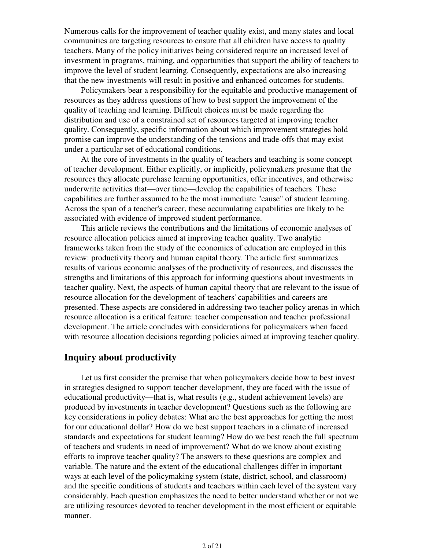Numerous calls for the improvement of teacher quality exist, and many states and local communities are targeting resources to ensure that all children have access to quality teachers. Many of the policy initiatives being considered require an increased level of investment in programs, training, and opportunities that support the ability of teachers to improve the level of student learning. Consequently, expectations are also increasing that the new investments will result in positive and enhanced outcomes for students.

 Policymakers bear a responsibility for the equitable and productive management of resources as they address questions of how to best support the improvement of the quality of teaching and learning. Difficult choices must be made regarding the distribution and use of a constrained set of resources targeted at improving teacher quality. Consequently, specific information about which improvement strategies hold promise can improve the understanding of the tensions and trade-offs that may exist under a particular set of educational conditions.

 At the core of investments in the quality of teachers and teaching is some concept of teacher development. Either explicitly, or implicitly, policymakers presume that the resources they allocate purchase learning opportunities, offer incentives, and otherwise underwrite activities that—over time—develop the capabilities of teachers. These capabilities are further assumed to be the most immediate "cause" of student learning. Across the span of a teacher's career, these accumulating capabilities are likely to be associated with evidence of improved student performance.

 This article reviews the contributions and the limitations of economic analyses of resource allocation policies aimed at improving teacher quality. Two analytic frameworks taken from the study of the economics of education are employed in this review: productivity theory and human capital theory. The article first summarizes results of various economic analyses of the productivity of resources, and discusses the strengths and limitations of this approach for informing questions about investments in teacher quality. Next, the aspects of human capital theory that are relevant to the issue of resource allocation for the development of teachers' capabilities and careers are presented. These aspects are considered in addressing two teacher policy arenas in which resource allocation is a critical feature: teacher compensation and teacher professional development. The article concludes with considerations for policymakers when faced with resource allocation decisions regarding policies aimed at improving teacher quality.

## **Inquiry about productivity**

 Let us first consider the premise that when policymakers decide how to best invest in strategies designed to support teacher development, they are faced with the issue of educational productivity—that is, what results (e.g., student achievement levels) are produced by investments in teacher development? Questions such as the following are key considerations in policy debates: What are the best approaches for getting the most for our educational dollar? How do we best support teachers in a climate of increased standards and expectations for student learning? How do we best reach the full spectrum of teachers and students in need of improvement? What do we know about existing efforts to improve teacher quality? The answers to these questions are complex and variable. The nature and the extent of the educational challenges differ in important ways at each level of the policymaking system (state, district, school, and classroom) and the specific conditions of students and teachers within each level of the system vary considerably. Each question emphasizes the need to better understand whether or not we are utilizing resources devoted to teacher development in the most efficient or equitable manner.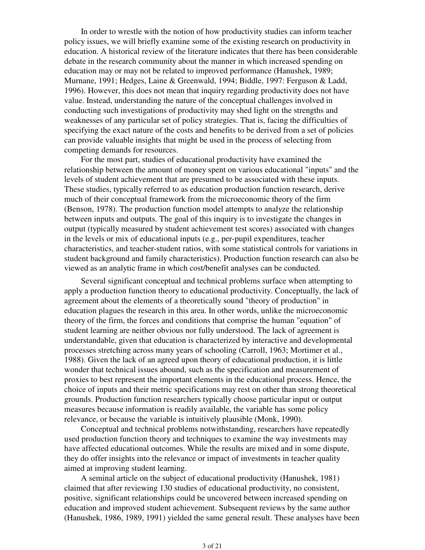In order to wrestle with the notion of how productivity studies can inform teacher policy issues, we will briefly examine some of the existing research on productivity in education. A historical review of the literature indicates that there has been considerable debate in the research community about the manner in which increased spending on education may or may not be related to improved performance (Hanushek, 1989; Murnane, 1991; Hedges, Laine & Greenwald, 1994; Biddle, 1997: Ferguson & Ladd, 1996). However, this does not mean that inquiry regarding productivity does not have value. Instead, understanding the nature of the conceptual challenges involved in conducting such investigations of productivity may shed light on the strengths and weaknesses of any particular set of policy strategies. That is, facing the difficulties of specifying the exact nature of the costs and benefits to be derived from a set of policies can provide valuable insights that might be used in the process of selecting from competing demands for resources.

 For the most part, studies of educational productivity have examined the relationship between the amount of money spent on various educational "inputs" and the levels of student achievement that are presumed to be associated with these inputs. These studies, typically referred to as education production function research, derive much of their conceptual framework from the microeconomic theory of the firm (Benson, 1978). The production function model attempts to analyze the relationship between inputs and outputs. The goal of this inquiry is to investigate the changes in output (typically measured by student achievement test scores) associated with changes in the levels or mix of educational inputs (e.g., per-pupil expenditures, teacher characteristics, and teacher-student ratios, with some statistical controls for variations in student background and family characteristics). Production function research can also be viewed as an analytic frame in which cost/benefit analyses can be conducted.

 Several significant conceptual and technical problems surface when attempting to apply a production function theory to educational productivity. Conceptually, the lack of agreement about the elements of a theoretically sound "theory of production" in education plagues the research in this area. In other words, unlike the microeconomic theory of the firm, the forces and conditions that comprise the human "equation" of student learning are neither obvious nor fully understood. The lack of agreement is understandable, given that education is characterized by interactive and developmental processes stretching across many years of schooling (Carroll, 1963; Mortimer et al., 1988). Given the lack of an agreed upon theory of educational production, it is little wonder that technical issues abound, such as the specification and measurement of proxies to best represent the important elements in the educational process. Hence, the choice of inputs and their metric specifications may rest on other than strong theoretical grounds. Production function researchers typically choose particular input or output measures because information is readily available, the variable has some policy relevance, or because the variable is intuitively plausible (Monk, 1990).

 Conceptual and technical problems notwithstanding, researchers have repeatedly used production function theory and techniques to examine the way investments may have affected educational outcomes. While the results are mixed and in some dispute, they do offer insights into the relevance or impact of investments in teacher quality aimed at improving student learning.

 A seminal article on the subject of educational productivity (Hanushek, 1981) claimed that after reviewing 130 studies of educational productivity, no consistent, positive, significant relationships could be uncovered between increased spending on education and improved student achievement. Subsequent reviews by the same author (Hanushek, 1986, 1989, 1991) yielded the same general result. These analyses have been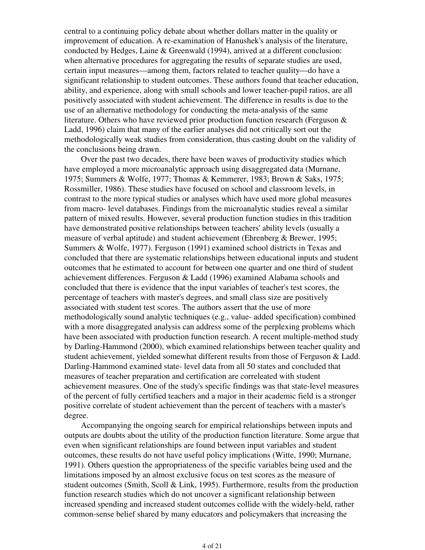central to a continuing policy debate about whether dollars matter in the quality or improvement of education. A re-examination of Hanushek's analysis of the literature, conducted by Hedges, Laine & Greenwald (1994), arrived at a different conclusion: when alternative procedures for aggregating the results of separate studies are used, certain input measures—among them, factors related to teacher quality—do have a significant relationship to student outcomes. These authors found that teacher education, ability, and experience, along with small schools and lower teacher-pupil ratios, are all positively associated with student achievement. The difference in results is due to the use of an alternative methodology for conducting the meta-analysis of the same literature. Others who have reviewed prior production function research (Ferguson & Ladd, 1996) claim that many of the earlier analyses did not critically sort out the methodologically weak studies from consideration, thus casting doubt on the validity of the conclusions being drawn.

 Over the past two decades, there have been waves of productivity studies which have employed a more microanalytic approach using disaggregated data (Murnane, 1975; Summers & Wolfe, 1977; Thomas & Kemmerer, 1983; Brown & Saks, 1975; Rossmiller, 1986). These studies have focused on school and classroom levels, in contrast to the more typical studies or analyses which have used more global measures from macro- level databases. Findings from the microanalytic studies reveal a similar pattern of mixed results. However, several production function studies in this tradition have demonstrated positive relationships between teachers' ability levels (usually a measure of verbal aptitude) and student achievement (Ehrenberg & Brewer, 1995; Summers & Wolfe, 1977). Ferguson (1991) examined school districts in Texas and concluded that there are systematic relationships between educational inputs and student outcomes that he estimated to account for between one quarter and one third of student achievement differences. Ferguson & Ladd (1996) examined Alabama schools and concluded that there is evidence that the input variables of teacher's test scores, the percentage of teachers with master's degrees, and small class size are positively associated with student test scores. The authors assert that the use of more methodologically sound analytic techniques (e.g., value- added specification) combined with a more disaggregated analysis can address some of the perplexing problems which have been associated with production function research. A recent multiple-method study by Darling-Hammond (2000), which examined relationships between teacher quality and student achievement, yielded somewhat different results from those of Ferguson & Ladd. Darling-Hammond examined state- level data from all 50 states and concluded that measures of teacher preparation and certification are correleated with student achievement measures. One of the study's specific findings was that state-level measures of the percent of fully certified teachers and a major in their academic field is a stronger positive correlate of student achievement than the percent of teachers with a master's degree.

 Accompanying the ongoing search for empirical relationships between inputs and outputs are doubts about the utility of the production function literature. Some argue that even when significant relationships are found between input variables and student outcomes, these results do not have useful policy implications (Witte, 1990; Murnane, 1991). Others question the appropriateness of the specific variables being used and the limitations imposed by an almost exclusive focus on test scores as the measure of student outcomes (Smith, Scoll & Link, 1995). Furthermore, results from the production function research studies which do not uncover a significant relationship between increased spending and increased student outcomes collide with the widely-held, rather common-sense belief shared by many educators and policymakers that increasing the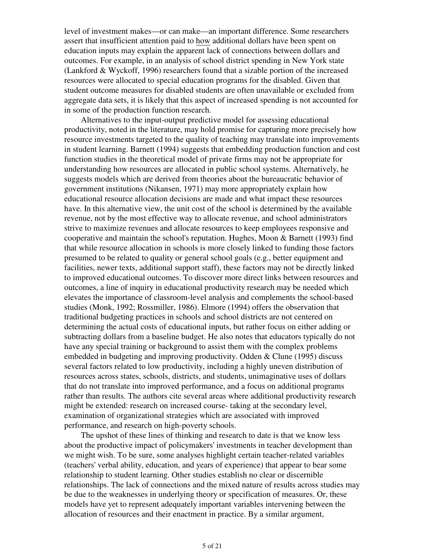level of investment makes—or can make—an important difference. Some researchers assert that insufficient attention paid to how additional dollars have been spent on education inputs may explain the apparent lack of connections between dollars and outcomes. For example, in an analysis of school district spending in New York state (Lankford & Wyckoff, 1996) researchers found that a sizable portion of the increased resources were allocated to special education programs for the disabled. Given that student outcome measures for disabled students are often unavailable or excluded from aggregate data sets, it is likely that this aspect of increased spending is not accounted for in some of the production function research.

 Alternatives to the input-output predictive model for assessing educational productivity, noted in the literature, may hold promise for capturing more precisely how resource investments targeted to the quality of teaching may translate into improvements in student learning. Barnett (1994) suggests that embedding production function and cost function studies in the theoretical model of private firms may not be appropriate for understanding how resources are allocated in public school systems. Alternatively, he suggests models which are derived from theories about the bureaucratic behavior of government institutions (Nikansen, 1971) may more appropriately explain how educational resource allocation decisions are made and what impact these resources have. In this alternative view, the unit cost of the school is determined by the available revenue, not by the most effective way to allocate revenue, and school administrators strive to maximize revenues and allocate resources to keep employees responsive and cooperative and maintain the school's reputation. Hughes, Moon & Barnett (1993) find that while resource allocation in schools is more closely linked to funding those factors presumed to be related to quality or general school goals (e.g., better equipment and facilities, newer texts, additional support staff), these factors may not be directly linked to improved educational outcomes. To discover more direct links between resources and outcomes, a line of inquiry in educational productivity research may be needed which elevates the importance of classroom-level analysis and complements the school-based studies (Monk, 1992; Rossmiller, 1986). Elmore (1994) offers the observation that traditional budgeting practices in schools and school districts are not centered on determining the actual costs of educational inputs, but rather focus on either adding or subtracting dollars from a baseline budget. He also notes that educators typically do not have any special training or background to assist them with the complex problems embedded in budgeting and improving productivity. Odden & Clune (1995) discuss several factors related to low productivity, including a highly uneven distribution of resources across states, schools, districts, and students, unimaginative uses of dollars that do not translate into improved performance, and a focus on additional programs rather than results. The authors cite several areas where additional productivity research might be extended: research on increased course- taking at the secondary level, examination of organizational strategies which are associated with improved performance, and research on high-poverty schools.

 The upshot of these lines of thinking and research to date is that we know less about the productive impact of policymakers' investments in teacher development than we might wish. To be sure, some analyses highlight certain teacher-related variables (teachers' verbal ability, education, and years of experience) that appear to bear some relationship to student learning. Other studies establish no clear or discernible relationships. The lack of connections and the mixed nature of results across studies may be due to the weaknesses in underlying theory or specification of measures. Or, these models have yet to represent adequately important variables intervening between the allocation of resources and their enactment in practice. By a similar argument,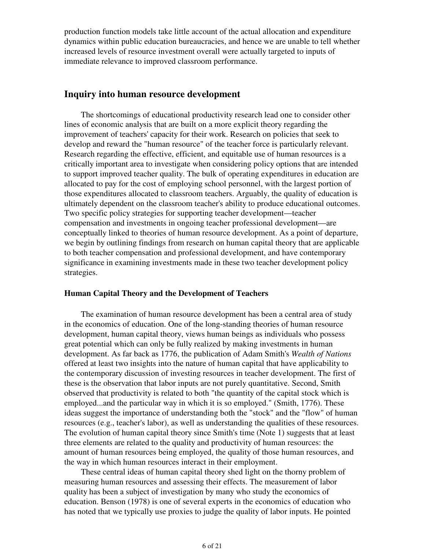production function models take little account of the actual allocation and expenditure dynamics within public education bureaucracies, and hence we are unable to tell whether increased levels of resource investment overall were actually targeted to inputs of immediate relevance to improved classroom performance.

## **Inquiry into human resource development**

 The shortcomings of educational productivity research lead one to consider other lines of economic analysis that are built on a more explicit theory regarding the improvement of teachers' capacity for their work. Research on policies that seek to develop and reward the "human resource" of the teacher force is particularly relevant. Research regarding the effective, efficient, and equitable use of human resources is a critically important area to investigate when considering policy options that are intended to support improved teacher quality. The bulk of operating expenditures in education are allocated to pay for the cost of employing school personnel, with the largest portion of those expenditures allocated to classroom teachers. Arguably, the quality of education is ultimately dependent on the classroom teacher's ability to produce educational outcomes. Two specific policy strategies for supporting teacher development—teacher compensation and investments in ongoing teacher professional development—are conceptually linked to theories of human resource development. As a point of departure, we begin by outlining findings from research on human capital theory that are applicable to both teacher compensation and professional development, and have contemporary significance in examining investments made in these two teacher development policy strategies.

### **Human Capital Theory and the Development of Teachers**

 The examination of human resource development has been a central area of study in the economics of education. One of the long-standing theories of human resource development, human capital theory, views human beings as individuals who possess great potential which can only be fully realized by making investments in human development. As far back as 1776, the publication of Adam Smith's *Wealth of Nations* offered at least two insights into the nature of human capital that have applicability to the contemporary discussion of investing resources in teacher development. The first of these is the observation that labor inputs are not purely quantitative. Second, Smith observed that productivity is related to both "the quantity of the capital stock which is employed...and the particular way in which it is so employed." (Smith, 1776). These ideas suggest the importance of understanding both the "stock" and the "flow" of human resources (e.g., teacher's labor), as well as understanding the qualities of these resources. The evolution of human capital theory since Smith's time (Note 1) suggests that at least three elements are related to the quality and productivity of human resources: the amount of human resources being employed, the quality of those human resources, and the way in which human resources interact in their employment.

 These central ideas of human capital theory shed light on the thorny problem of measuring human resources and assessing their effects. The measurement of labor quality has been a subject of investigation by many who study the economics of education. Benson (1978) is one of several experts in the economics of education who has noted that we typically use proxies to judge the quality of labor inputs. He pointed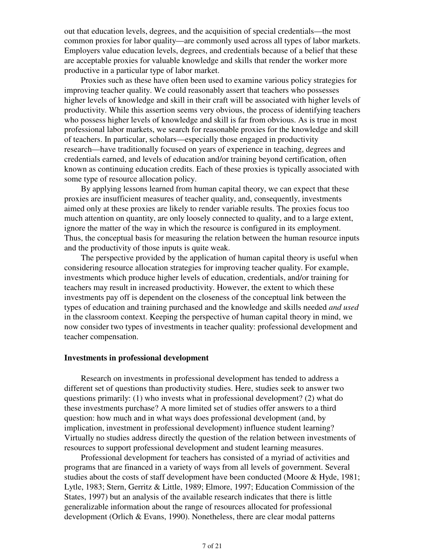out that education levels, degrees, and the acquisition of special credentials—the most common proxies for labor quality—are commonly used across all types of labor markets. Employers value education levels, degrees, and credentials because of a belief that these are acceptable proxies for valuable knowledge and skills that render the worker more productive in a particular type of labor market.

 Proxies such as these have often been used to examine various policy strategies for improving teacher quality. We could reasonably assert that teachers who possesses higher levels of knowledge and skill in their craft will be associated with higher levels of productivity. While this assertion seems very obvious, the process of identifying teachers who possess higher levels of knowledge and skill is far from obvious. As is true in most professional labor markets, we search for reasonable proxies for the knowledge and skill of teachers. In particular, scholars—especially those engaged in productivity research—have traditionally focused on years of experience in teaching, degrees and credentials earned, and levels of education and/or training beyond certification, often known as continuing education credits. Each of these proxies is typically associated with some type of resource allocation policy.

 By applying lessons learned from human capital theory, we can expect that these proxies are insufficient measures of teacher quality, and, consequently, investments aimed only at these proxies are likely to render variable results. The proxies focus too much attention on quantity, are only loosely connected to quality, and to a large extent, ignore the matter of the way in which the resource is configured in its employment. Thus, the conceptual basis for measuring the relation between the human resource inputs and the productivity of those inputs is quite weak.

 The perspective provided by the application of human capital theory is useful when considering resource allocation strategies for improving teacher quality. For example, investments which produce higher levels of education, credentials, and/or training for teachers may result in increased productivity. However, the extent to which these investments pay off is dependent on the closeness of the conceptual link between the types of education and training purchased and the knowledge and skills needed *and used* in the classroom context. Keeping the perspective of human capital theory in mind, we now consider two types of investments in teacher quality: professional development and teacher compensation.

### **Investments in professional development**

 Research on investments in professional development has tended to address a different set of questions than productivity studies. Here, studies seek to answer two questions primarily: (1) who invests what in professional development? (2) what do these investments purchase? A more limited set of studies offer answers to a third question: how much and in what ways does professional development (and, by implication, investment in professional development) influence student learning? Virtually no studies address directly the question of the relation between investments of resources to support professional development and student learning measures.

 Professional development for teachers has consisted of a myriad of activities and programs that are financed in a variety of ways from all levels of government. Several studies about the costs of staff development have been conducted (Moore & Hyde, 1981; Lytle, 1983; Stern, Gerritz & Little, 1989; Elmore, 1997; Education Commission of the States, 1997) but an analysis of the available research indicates that there is little generalizable information about the range of resources allocated for professional development (Orlich & Evans, 1990). Nonetheless, there are clear modal patterns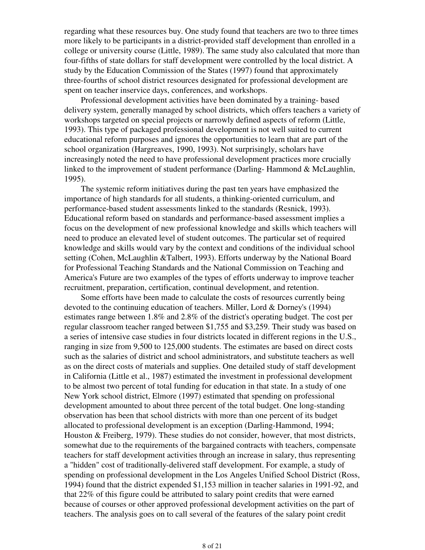regarding what these resources buy. One study found that teachers are two to three times more likely to be participants in a district-provided staff development than enrolled in a college or university course (Little, 1989). The same study also calculated that more than four-fifths of state dollars for staff development were controlled by the local district. A study by the Education Commission of the States (1997) found that approximately three-fourths of school district resources designated for professional development are spent on teacher inservice days, conferences, and workshops.

 Professional development activities have been dominated by a training- based delivery system, generally managed by school districts, which offers teachers a variety of workshops targeted on special projects or narrowly defined aspects of reform (Little, 1993). This type of packaged professional development is not well suited to current educational reform purposes and ignores the opportunities to learn that are part of the school organization (Hargreaves, 1990, 1993). Not surprisingly, scholars have increasingly noted the need to have professional development practices more crucially linked to the improvement of student performance (Darling- Hammond & McLaughlin, 1995).

 The systemic reform initiatives during the past ten years have emphasized the importance of high standards for all students, a thinking-oriented curriculum, and performance-based student assessments linked to the standards (Resnick, 1993). Educational reform based on standards and performance-based assessment implies a focus on the development of new professional knowledge and skills which teachers will need to produce an elevated level of student outcomes. The particular set of required knowledge and skills would vary by the context and conditions of the individual school setting (Cohen, McLaughlin &Talbert, 1993). Efforts underway by the National Board for Professional Teaching Standards and the National Commission on Teaching and America's Future are two examples of the types of efforts underway to improve teacher recruitment, preparation, certification, continual development, and retention.

 Some efforts have been made to calculate the costs of resources currently being devoted to the continuing education of teachers. Miller, Lord & Dorney's (1994) estimates range between 1.8% and 2.8% of the district's operating budget. The cost per regular classroom teacher ranged between \$1,755 and \$3,259. Their study was based on a series of intensive case studies in four districts located in different regions in the U.S., ranging in size from 9,500 to 125,000 students. The estimates are based on direct costs such as the salaries of district and school administrators, and substitute teachers as well as on the direct costs of materials and supplies. One detailed study of staff development in California (Little et al., 1987) estimated the investment in professional development to be almost two percent of total funding for education in that state. In a study of one New York school district, Elmore (1997) estimated that spending on professional development amounted to about three percent of the total budget. One long-standing observation has been that school districts with more than one percent of its budget allocated to professional development is an exception (Darling-Hammond, 1994; Houston & Freiberg, 1979). These studies do not consider, however, that most districts, somewhat due to the requirements of the bargained contracts with teachers, compensate teachers for staff development activities through an increase in salary, thus representing a "hidden" cost of traditionally-delivered staff development. For example, a study of spending on professional development in the Los Angeles Unified School District (Ross, 1994) found that the district expended \$1,153 million in teacher salaries in 1991-92, and that 22% of this figure could be attributed to salary point credits that were earned because of courses or other approved professional development activities on the part of teachers. The analysis goes on to call several of the features of the salary point credit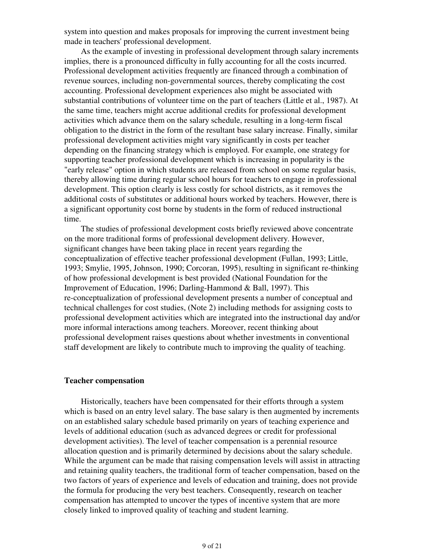system into question and makes proposals for improving the current investment being made in teachers' professional development.

 As the example of investing in professional development through salary increments implies, there is a pronounced difficulty in fully accounting for all the costs incurred. Professional development activities frequently are financed through a combination of revenue sources, including non-governmental sources, thereby complicating the cost accounting. Professional development experiences also might be associated with substantial contributions of volunteer time on the part of teachers (Little et al., 1987). At the same time, teachers might accrue additional credits for professional development activities which advance them on the salary schedule, resulting in a long-term fiscal obligation to the district in the form of the resultant base salary increase. Finally, similar professional development activities might vary significantly in costs per teacher depending on the financing strategy which is employed. For example, one strategy for supporting teacher professional development which is increasing in popularity is the "early release" option in which students are released from school on some regular basis, thereby allowing time during regular school hours for teachers to engage in professional development. This option clearly is less costly for school districts, as it removes the additional costs of substitutes or additional hours worked by teachers. However, there is a significant opportunity cost borne by students in the form of reduced instructional time.

 The studies of professional development costs briefly reviewed above concentrate on the more traditional forms of professional development delivery. However, significant changes have been taking place in recent years regarding the conceptualization of effective teacher professional development (Fullan, 1993; Little, 1993; Smylie, 1995, Johnson, 1990; Corcoran, 1995), resulting in significant re-thinking of how professional development is best provided (National Foundation for the Improvement of Education, 1996; Darling-Hammond & Ball, 1997). This re-conceptualization of professional development presents a number of conceptual and technical challenges for cost studies, (Note 2) including methods for assigning costs to professional development activities which are integrated into the instructional day and/or more informal interactions among teachers. Moreover, recent thinking about professional development raises questions about whether investments in conventional staff development are likely to contribute much to improving the quality of teaching.

### **Teacher compensation**

 Historically, teachers have been compensated for their efforts through a system which is based on an entry level salary. The base salary is then augmented by increments on an established salary schedule based primarily on years of teaching experience and levels of additional education (such as advanced degrees or credit for professional development activities). The level of teacher compensation is a perennial resource allocation question and is primarily determined by decisions about the salary schedule. While the argument can be made that raising compensation levels will assist in attracting and retaining quality teachers, the traditional form of teacher compensation, based on the two factors of years of experience and levels of education and training, does not provide the formula for producing the very best teachers. Consequently, research on teacher compensation has attempted to uncover the types of incentive system that are more closely linked to improved quality of teaching and student learning.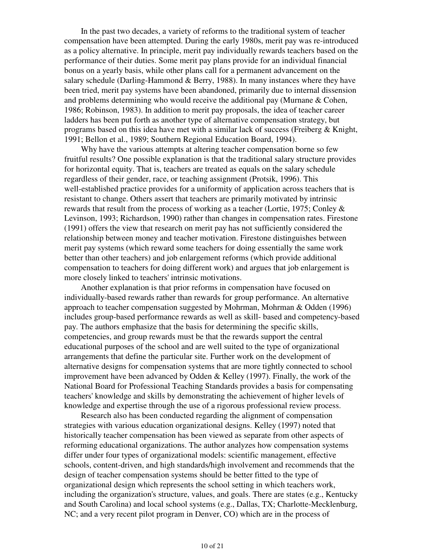In the past two decades, a variety of reforms to the traditional system of teacher compensation have been attempted. During the early 1980s, merit pay was re-introduced as a policy alternative. In principle, merit pay individually rewards teachers based on the performance of their duties. Some merit pay plans provide for an individual financial bonus on a yearly basis, while other plans call for a permanent advancement on the salary schedule (Darling-Hammond & Berry, 1988). In many instances where they have been tried, merit pay systems have been abandoned, primarily due to internal dissension and problems determining who would receive the additional pay (Murnane  $& Cohen$ , 1986; Robinson, 1983). In addition to merit pay proposals, the idea of teacher career ladders has been put forth as another type of alternative compensation strategy, but programs based on this idea have met with a similar lack of success (Freiberg & Knight, 1991; Bellon et al., 1989; Southern Regional Education Board, 1994).

 Why have the various attempts at altering teacher compensation borne so few fruitful results? One possible explanation is that the traditional salary structure provides for horizontal equity. That is, teachers are treated as equals on the salary schedule regardless of their gender, race, or teaching assignment (Protsik, 1996). This well-established practice provides for a uniformity of application across teachers that is resistant to change. Others assert that teachers are primarily motivated by intrinsic rewards that result from the process of working as a teacher (Lortie, 1975; Conley & Levinson, 1993; Richardson, 1990) rather than changes in compensation rates. Firestone (1991) offers the view that research on merit pay has not sufficiently considered the relationship between money and teacher motivation. Firestone distinguishes between merit pay systems (which reward some teachers for doing essentially the same work better than other teachers) and job enlargement reforms (which provide additional compensation to teachers for doing different work) and argues that job enlargement is more closely linked to teachers' intrinsic motivations.

 Another explanation is that prior reforms in compensation have focused on individually-based rewards rather than rewards for group performance. An alternative approach to teacher compensation suggested by Mohrman, Mohrman & Odden (1996) includes group-based performance rewards as well as skill- based and competency-based pay. The authors emphasize that the basis for determining the specific skills, competencies, and group rewards must be that the rewards support the central educational purposes of the school and are well suited to the type of organizational arrangements that define the particular site. Further work on the development of alternative designs for compensation systems that are more tightly connected to school improvement have been advanced by Odden & Kelley (1997). Finally, the work of the National Board for Professional Teaching Standards provides a basis for compensating teachers' knowledge and skills by demonstrating the achievement of higher levels of knowledge and expertise through the use of a rigorous professional review process.

 Research also has been conducted regarding the alignment of compensation strategies with various education organizational designs. Kelley (1997) noted that historically teacher compensation has been viewed as separate from other aspects of reforming educational organizations. The author analyzes how compensation systems differ under four types of organizational models: scientific management, effective schools, content-driven, and high standards/high involvement and recommends that the design of teacher compensation systems should be better fitted to the type of organizational design which represents the school setting in which teachers work, including the organization's structure, values, and goals. There are states (e.g., Kentucky and South Carolina) and local school systems (e.g., Dallas, TX; Charlotte-Mecklenburg, NC; and a very recent pilot program in Denver, CO) which are in the process of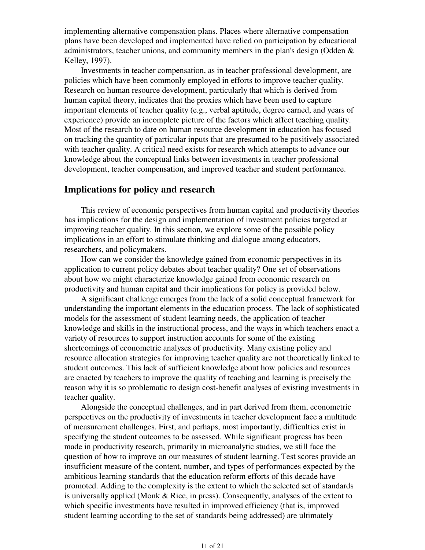implementing alternative compensation plans. Places where alternative compensation plans have been developed and implemented have relied on participation by educational administrators, teacher unions, and community members in the plan's design (Odden & Kelley, 1997).

 Investments in teacher compensation, as in teacher professional development, are policies which have been commonly employed in efforts to improve teacher quality. Research on human resource development, particularly that which is derived from human capital theory, indicates that the proxies which have been used to capture important elements of teacher quality (e.g., verbal aptitude, degree earned, and years of experience) provide an incomplete picture of the factors which affect teaching quality. Most of the research to date on human resource development in education has focused on tracking the quantity of particular inputs that are presumed to be positively associated with teacher quality. A critical need exists for research which attempts to advance our knowledge about the conceptual links between investments in teacher professional development, teacher compensation, and improved teacher and student performance.

### **Implications for policy and research**

 This review of economic perspectives from human capital and productivity theories has implications for the design and implementation of investment policies targeted at improving teacher quality. In this section, we explore some of the possible policy implications in an effort to stimulate thinking and dialogue among educators, researchers, and policymakers.

 How can we consider the knowledge gained from economic perspectives in its application to current policy debates about teacher quality? One set of observations about how we might characterize knowledge gained from economic research on productivity and human capital and their implications for policy is provided below.

 A significant challenge emerges from the lack of a solid conceptual framework for understanding the important elements in the education process. The lack of sophisticated models for the assessment of student learning needs, the application of teacher knowledge and skills in the instructional process, and the ways in which teachers enact a variety of resources to support instruction accounts for some of the existing shortcomings of econometric analyses of productivity. Many existing policy and resource allocation strategies for improving teacher quality are not theoretically linked to student outcomes. This lack of sufficient knowledge about how policies and resources are enacted by teachers to improve the quality of teaching and learning is precisely the reason why it is so problematic to design cost-benefit analyses of existing investments in teacher quality.

 Alongside the conceptual challenges, and in part derived from them, econometric perspectives on the productivity of investments in teacher development face a multitude of measurement challenges. First, and perhaps, most importantly, difficulties exist in specifying the student outcomes to be assessed. While significant progress has been made in productivity research, primarily in microanalytic studies, we still face the question of how to improve on our measures of student learning. Test scores provide an insufficient measure of the content, number, and types of performances expected by the ambitious learning standards that the education reform efforts of this decade have promoted. Adding to the complexity is the extent to which the selected set of standards is universally applied (Monk & Rice, in press). Consequently, analyses of the extent to which specific investments have resulted in improved efficiency (that is, improved student learning according to the set of standards being addressed) are ultimately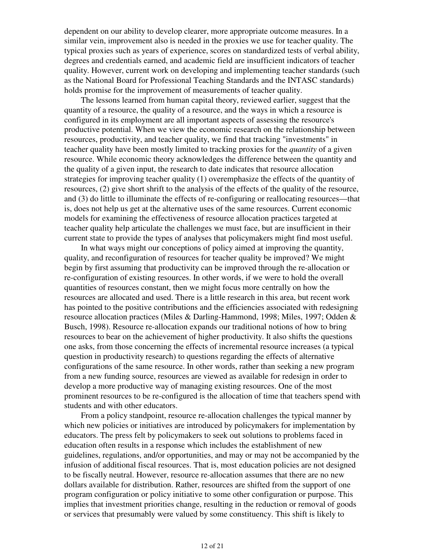dependent on our ability to develop clearer, more appropriate outcome measures. In a similar vein, improvement also is needed in the proxies we use for teacher quality. The typical proxies such as years of experience, scores on standardized tests of verbal ability, degrees and credentials earned, and academic field are insufficient indicators of teacher quality. However, current work on developing and implementing teacher standards (such as the National Board for Professional Teaching Standards and the INTASC standards) holds promise for the improvement of measurements of teacher quality.

 The lessons learned from human capital theory, reviewed earlier, suggest that the quantity of a resource, the quality of a resource, and the ways in which a resource is configured in its employment are all important aspects of assessing the resource's productive potential. When we view the economic research on the relationship between resources, productivity, and teacher quality, we find that tracking "investments" in teacher quality have been mostly limited to tracking proxies for the *quantity* of a given resource. While economic theory acknowledges the difference between the quantity and the quality of a given input, the research to date indicates that resource allocation strategies for improving teacher quality (1) overemphasize the effects of the quantity of resources, (2) give short shrift to the analysis of the effects of the quality of the resource, and (3) do little to illuminate the effects of re-configuring or reallocating resources—that is, does not help us get at the alternative uses of the same resources. Current economic models for examining the effectiveness of resource allocation practices targeted at teacher quality help articulate the challenges we must face, but are insufficient in their current state to provide the types of analyses that policymakers might find most useful.

 In what ways might our conceptions of policy aimed at improving the quantity, quality, and reconfiguration of resources for teacher quality be improved? We might begin by first assuming that productivity can be improved through the re-allocation or re-configuration of existing resources. In other words, if we were to hold the overall quantities of resources constant, then we might focus more centrally on how the resources are allocated and used. There is a little research in this area, but recent work has pointed to the positive contributions and the efficiencies associated with redesigning resource allocation practices (Miles & Darling-Hammond, 1998; Miles, 1997; Odden & Busch, 1998). Resource re-allocation expands our traditional notions of how to bring resources to bear on the achievement of higher productivity. It also shifts the questions one asks, from those concerning the effects of incremental resource increases (a typical question in productivity research) to questions regarding the effects of alternative configurations of the same resource. In other words, rather than seeking a new program from a new funding source, resources are viewed as available for redesign in order to develop a more productive way of managing existing resources. One of the most prominent resources to be re-configured is the allocation of time that teachers spend with students and with other educators.

 From a policy standpoint, resource re-allocation challenges the typical manner by which new policies or initiatives are introduced by policymakers for implementation by educators. The press felt by policymakers to seek out solutions to problems faced in education often results in a response which includes the establishment of new guidelines, regulations, and/or opportunities, and may or may not be accompanied by the infusion of additional fiscal resources. That is, most education policies are not designed to be fiscally neutral. However, resource re-allocation assumes that there are no new dollars available for distribution. Rather, resources are shifted from the support of one program configuration or policy initiative to some other configuration or purpose. This implies that investment priorities change, resulting in the reduction or removal of goods or services that presumably were valued by some constituency. This shift is likely to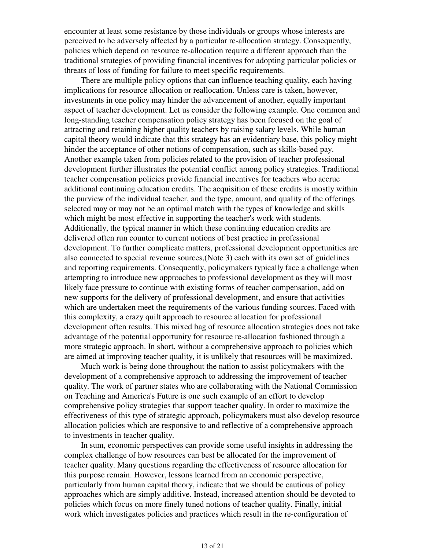encounter at least some resistance by those individuals or groups whose interests are perceived to be adversely affected by a particular re-allocation strategy. Consequently, policies which depend on resource re-allocation require a different approach than the traditional strategies of providing financial incentives for adopting particular policies or threats of loss of funding for failure to meet specific requirements.

 There are multiple policy options that can influence teaching quality, each having implications for resource allocation or reallocation. Unless care is taken, however, investments in one policy may hinder the advancement of another, equally important aspect of teacher development. Let us consider the following example. One common and long-standing teacher compensation policy strategy has been focused on the goal of attracting and retaining higher quality teachers by raising salary levels. While human capital theory would indicate that this strategy has an evidentiary base, this policy might hinder the acceptance of other notions of compensation, such as skills-based pay. Another example taken from policies related to the provision of teacher professional development further illustrates the potential conflict among policy strategies. Traditional teacher compensation policies provide financial incentives for teachers who accrue additional continuing education credits. The acquisition of these credits is mostly within the purview of the individual teacher, and the type, amount, and quality of the offerings selected may or may not be an optimal match with the types of knowledge and skills which might be most effective in supporting the teacher's work with students. Additionally, the typical manner in which these continuing education credits are delivered often run counter to current notions of best practice in professional development. To further complicate matters, professional development opportunities are also connected to special revenue sources,(Note 3) each with its own set of guidelines and reporting requirements. Consequently, policymakers typically face a challenge when attempting to introduce new approaches to professional development as they will most likely face pressure to continue with existing forms of teacher compensation, add on new supports for the delivery of professional development, and ensure that activities which are undertaken meet the requirements of the various funding sources. Faced with this complexity, a crazy quilt approach to resource allocation for professional development often results. This mixed bag of resource allocation strategies does not take advantage of the potential opportunity for resource re-allocation fashioned through a more strategic approach. In short, without a comprehensive approach to policies which are aimed at improving teacher quality, it is unlikely that resources will be maximized.

 Much work is being done throughout the nation to assist policymakers with the development of a comprehensive approach to addressing the improvement of teacher quality. The work of partner states who are collaborating with the National Commission on Teaching and America's Future is one such example of an effort to develop comprehensive policy strategies that support teacher quality. In order to maximize the effectiveness of this type of strategic approach, policymakers must also develop resource allocation policies which are responsive to and reflective of a comprehensive approach to investments in teacher quality.

 In sum, economic perspectives can provide some useful insights in addressing the complex challenge of how resources can best be allocated for the improvement of teacher quality. Many questions regarding the effectiveness of resource allocation for this purpose remain. However, lessons learned from an economic perspective, particularly from human capital theory, indicate that we should be cautious of policy approaches which are simply additive. Instead, increased attention should be devoted to policies which focus on more finely tuned notions of teacher quality. Finally, initial work which investigates policies and practices which result in the re-configuration of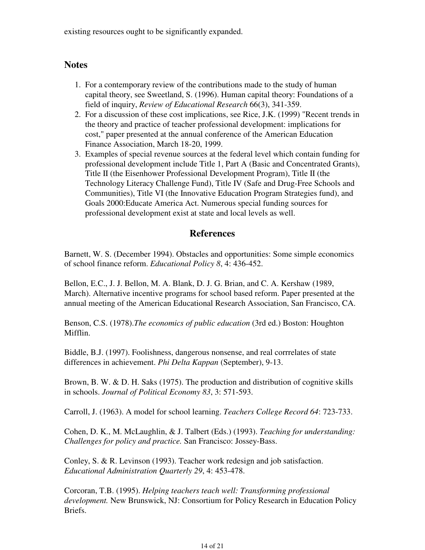existing resources ought to be significantly expanded.

# **Notes**

- 1. For a contemporary review of the contributions made to the study of human capital theory, see Sweetland, S. (1996). Human capital theory: Foundations of a field of inquiry, *Review of Educational Research* 66(3), 341-359.
- 2. For a discussion of these cost implications, see Rice, J.K. (1999) "Recent trends in the theory and practice of teacher professional development: implications for cost," paper presented at the annual conference of the American Education Finance Association, March 18-20, 1999.
- Examples of special revenue sources at the federal level which contain funding for 3. professional development include Title 1, Part A (Basic and Concentrated Grants), Title II (the Eisenhower Professional Development Program), Title II (the Technology Literacy Challenge Fund), Title IV (Safe and Drug-Free Schools and Communities), Title VI (the Innovative Education Program Strategies fund), and Goals 2000:Educate America Act. Numerous special funding sources for professional development exist at state and local levels as well.

# **References**

Barnett, W. S. (December 1994). Obstacles and opportunities: Some simple economics of school finance reform. *Educational Policy 8*, 4: 436-452.

Bellon, E.C., J. J. Bellon, M. A. Blank, D. J. G. Brian, and C. A. Kershaw (1989, March). Alternative incentive programs for school based reform. Paper presented at the annual meeting of the American Educational Research Association, San Francisco, CA.

Benson, C.S. (1978).*The economics of public education* (3rd ed.) Boston: Houghton Mifflin.

Biddle, B.J. (1997). Foolishness, dangerous nonsense, and real corrrelates of state differences in achievement. *Phi Delta Kappan* (September), 9-13.

Brown, B. W. & D. H. Saks (1975). The production and distribution of cognitive skills in schools. *Journal of Political Economy 83*, 3: 571-593.

Carroll, J. (1963). A model for school learning. *Teachers College Record 64*: 723-733.

Cohen, D. K., M. McLaughlin, & J. Talbert (Eds.) (1993). *Teaching for understanding: Challenges for policy and practice.* San Francisco: Jossey-Bass.

Conley, S. & R. Levinson (1993). Teacher work redesign and job satisfaction. *Educational Administration Quarterly 29*, 4: 453-478.

Corcoran, T.B. (1995). *Helping teachers teach well: Transforming professional development.* New Brunswick, NJ: Consortium for Policy Research in Education Policy Briefs.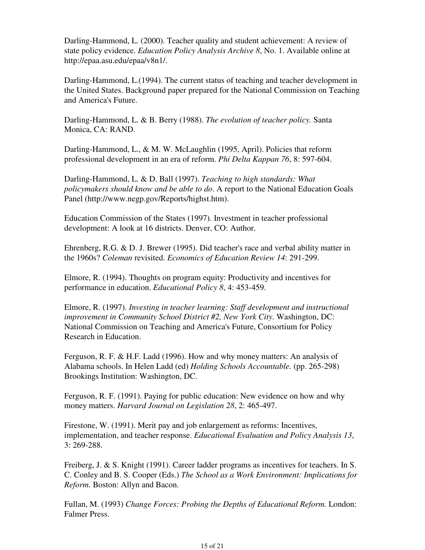Darling-Hammond, L. (2000). Teacher quality and student achievement: A review of state policy evidence. *Education Policy Analysis Archive 8*, No. 1. Available online at http://epaa.asu.edu/epaa/v8n1/.

Darling-Hammond, L.(1994). The current status of teaching and teacher development in the United States. Background paper prepared for the National Commission on Teaching and America's Future.

Darling-Hammond, L. & B. Berry (1988). *The evolution of teacher policy.* Santa Monica, CA: RAND.

Darling-Hammond, L., & M. W. McLaughlin (1995, April). Policies that reform professional development in an era of reform. *Phi Delta Kappan 76*, 8: 597-604.

Darling-Hammond, L. & D. Ball (1997). *Teaching to high standards: What policymakers should know and be able to do*. A report to the National Education Goals Panel (http://www.negp.gov/Reports/highst.htm).

Education Commission of the States (1997). Investment in teacher professional development: A look at 16 districts. Denver, CO: Author.

Ehrenberg, R.G. & D. J. Brewer (1995). Did teacher's race and verbal ability matter in the 1960s? *Coleman* revisited. *Economics of Education Review 14*: 291-299.

Elmore, R. (1994). Thoughts on program equity: Productivity and incentives for performance in education. *Educational Policy 8*, 4: 453-459.

Elmore, R. (1997). *Investing in teacher learning: Staff development and instructional improvement in Community School District #2, New York City*. Washington, DC: National Commission on Teaching and America's Future, Consortium for Policy Research in Education.

Ferguson, R. F. & H.F. Ladd (1996). How and why money matters: An analysis of Alabama schools. In Helen Ladd (ed) *Holding Schools Accountable.* (pp. 265-298) Brookings Institution: Washington, DC.

Ferguson, R. F. (1991). Paying for public education: New evidence on how and why money matters. *Harvard Journal on Legislation 28*, 2: 465-497.

Firestone, W. (1991). Merit pay and job enlargement as reforms: Incentives, implementation, and teacher response. *Educational Evaluation and Policy Analysis 13*, 3: 269-288.

Freiberg, J. & S. Knight (1991). Career ladder programs as incentives for teachers. In S. C. Conley and B. S. Cooper (Eds.) *The School as a Work Environment: Implications for Reform.* Boston: Allyn and Bacon.

Fullan, M. (1993) *Change Forces: Probing the Depths of Educational Reform.* London: Falmer Press.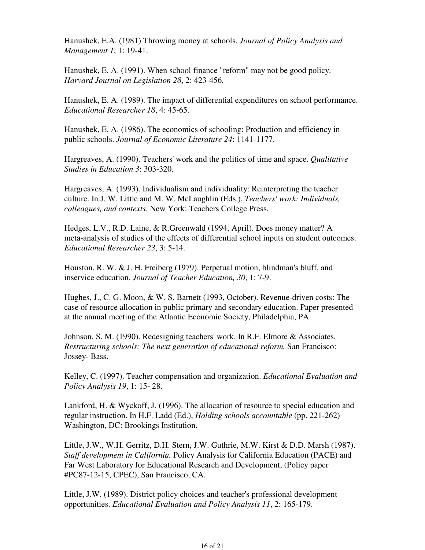Hanushek, E.A. (1981) Throwing money at schools. *Journal of Policy Analysis and Management 1*, 1: 19-41.

Hanushek, E. A. (1991). When school finance "reform" may not be good policy. *Harvard Journal on Legislation 28*, 2: 423-456.

Hanushek, E. A. (1989). The impact of differential expenditures on school performance. *Educational Researcher 18*, 4: 45-65.

Hanushek, E. A. (1986). The economics of schooling: Production and efficiency in public schools. *Journal of Economic Literature 24*: 1141-1177.

Hargreaves, A. (1990). Teachers' work and the politics of time and space. *Qualitative Studies in Education 3*: 303-320.

Hargreaves, A. (1993). Individualism and individuality: Reinterpreting the teacher culture. In J. W. Little and M. W. McLaughlin (Eds.), *Teachers' work: Individuals, colleagues, and contexts*. New York: Teachers College Press.

Hedges, L.V., R.D. Laine, & R.Greenwald (1994, April). Does money matter? A meta-analysis of studies of the effects of differential school inputs on student outcomes. *Educational Researcher 23*, 3: 5-14.

Houston, R. W. & J. H. Freiberg (1979). Perpetual motion, blindman's bluff, and inservice education. *Journal of Teacher Education, 30*, 1: 7-9.

Hughes, J., C. G. Moon, & W. S. Barnett (1993, October). Revenue-driven costs: The case of resource allocation in public primary and secondary education. Paper presented at the annual meeting of the Atlantic Economic Society, Philadelphia, PA.

Johnson, S. M. (1990). Redesigning teachers' work. In R.F. Elmore & Associates, *Restructuring schools: The next generation of educational reform.* San Francisco: Jossey- Bass.

Kelley, C. (1997). Teacher compensation and organization. *Educational Evaluation and Policy Analysis 19*, 1: 15- 28.

Lankford, H. & Wyckoff, J. (1996). The allocation of resource to special education and regular instruction. In H.F. Ladd (Ed.), *Holding schools accountable* (pp. 221-262) Washington, DC: Brookings Institution.

Little, J.W., W.H. Gerritz, D.H. Stern, J.W. Guthrie, M.W. Kirst & D.D. Marsh (1987). *Staff development in California.* Policy Analysis for California Education (PACE) and Far West Laboratory for Educational Research and Development, (Policy paper #PC87-12-15, CPEC), San Francisco, CA.

Little, J.W. (1989). District policy choices and teacher's professional development opportunities. *Educational Evaluation and Policy Analysis 11*, 2: 165-179.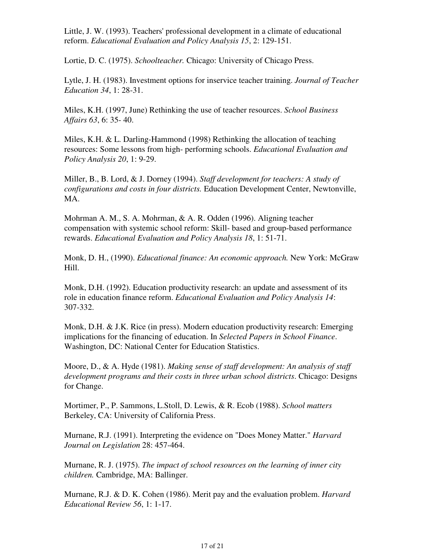Little, J. W. (1993). Teachers' professional development in a climate of educational reform. *Educational Evaluation and Policy Analysis 15*, 2: 129-151.

Lortie, D. C. (1975). *Schoolteacher.* Chicago: University of Chicago Press.

Lytle, J. H. (1983). Investment options for inservice teacher training. *Journal of Teacher Education 34*, 1: 28-31.

Miles, K.H. (1997, June) Rethinking the use of teacher resources. *School Business Affairs 63*, 6: 35- 40.

Miles, K.H. & L. Darling-Hammond (1998) Rethinking the allocation of teaching resources: Some lessons from high- performing schools. *Educational Evaluation and Policy Analysis 20*, 1: 9-29.

Miller, B., B. Lord, & J. Dorney (1994). *Staff development for teachers: A study of configurations and costs in four districts.* Education Development Center, Newtonville, MA.

Mohrman A. M., S. A. Mohrman, & A. R. Odden (1996). Aligning teacher compensation with systemic school reform: Skill- based and group-based performance rewards. *Educational Evaluation and Policy Analysis 18*, 1: 51-71.

Monk, D. H., (1990). *Educational finance: An economic approach.* New York: McGraw Hill.

Monk, D.H. (1992). Education productivity research: an update and assessment of its role in education finance reform. *Educational Evaluation and Policy Analysis 14*: 307-332.

Monk, D.H. & J.K. Rice (in press). Modern education productivity research: Emerging implications for the financing of education. In *Selected Papers in School Finance*. Washington, DC: National Center for Education Statistics.

Moore, D., & A. Hyde (1981). *Making sense of staff development: An analysis of staff development programs and their costs in three urban school districts*. Chicago: Designs for Change.

Mortimer, P., P. Sammons, L.Stoll, D. Lewis, & R. Ecob (1988). *School matters*  Berkeley, CA: University of California Press.

Murnane, R.J. (1991). Interpreting the evidence on "Does Money Matter." *Harvard Journal on Legislation* 28: 457-464.

Murnane, R. J. (1975). *The impact of school resources on the learning of inner city children.* Cambridge, MA: Ballinger.

Murnane, R.J. & D. K. Cohen (1986). Merit pay and the evaluation problem. *Harvard Educational Review 56*, 1: 1-17.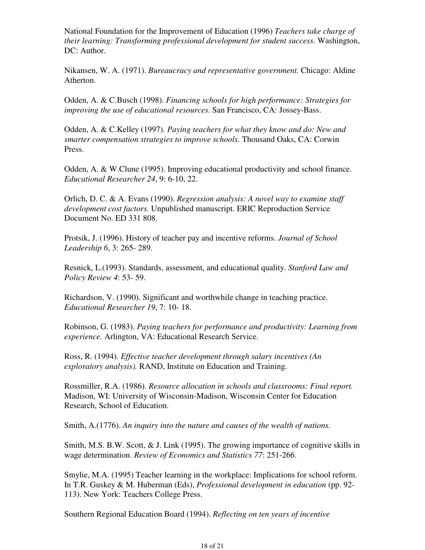National Foundation for the Improvement of Education (1996) *Teachers take charge of their learning: Transforming professional development for student success*. Washington, DC: Author.

Nikansen, W. A. (1971). *Bureaucracy and representative government.* Chicago: Aldine Atherton.

Odden, A. & C.Busch (1998). *Financing schools for high performance: Strategies for improving the use of educational resources*. San Francisco, CA: Jossey-Bass.

Odden, A. & C.Kelley (1997). *Paying teachers for what they know and do: New and smarter compensation strategies to improve schools.* Thousand Oaks, CA: Corwin Press.

Odden, A. & W.Clune (1995). Improving educational productivity and school finance. *Educational Researcher 24*, 9: 6-10, 22.

Orlich, D. C. & A. Evans (1990). *Regression analysis: A novel way to examine staff development cost factors.* Unpublished manuscript. ERIC Reproduction Service Document No. ED 331 808.

Protsik, J. (1996). History of teacher pay and incentive reforms. *Journal of School Leadership 6*, 3: 265- 289.

Resnick, L.(1993). Standards, assessment, and educational quality. *Stanford Law and Policy Review 4*: 53- 59.

Richardson, V. (1990). Significant and worthwhile change in teaching practice. *Educational Researcher 19*, 7: 10- 18.

Robinson, G. (1983). *Paying teachers for performance and productivity: Learning from experience.* Arlington, VA: Educational Research Service.

Ross, R. (1994). *Effective teacher development through salary incentives (An exploratory analysis).* RAND, Institute on Education and Training.

Rossmiller, R.A. (1986). *Resource allocation in schools and classrooms: Final report.* Madison, WI: University of Wisconsin-Madison, Wisconsin Center for Education Research, School of Education.

Smith, A.(1776). *An inquiry into the nature and causes of the wealth of nations.*

Smith, M.S. B.W. Scott, & J. Link (1995). The growing importance of cognitive skills in wage determination. *Review of Economics and Statistics 77*: 251-266.

Smylie, M.A. (1995) Teacher learning in the workplace: Implications for school reform. In T.R. Guskey & M. Huberman (Eds), *Professional development in education* (pp. 92- 113). New York: Teachers College Press.

Southern Regional Education Board (1994). *Reflecting on ten years of incentive*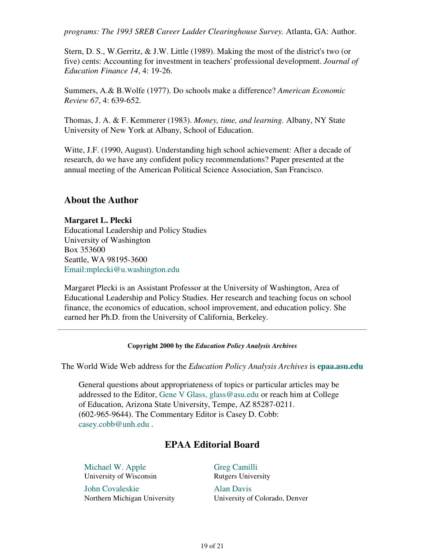*programs: The 1993 SREB Career Ladder Clearinghouse Survey.* Atlanta, GA: Author.

Stern, D. S., W.Gerritz, & J.W. Little (1989). Making the most of the district's two (or five) cents: Accounting for investment in teachers' professional development. *Journal of Education Finance 14*, 4: 19-26.

Summers, A.& B.Wolfe (1977). Do schools make a difference? *American Economic Review 67*, 4: 639-652.

Thomas, J. A. & F. Kemmerer (1983). *Money, time, and learning.* Albany, NY State University of New York at Albany, School of Education.

Witte, J.F. (1990, August). Understanding high school achievement: After a decade of research, do we have any confident policy recommendations? Paper presented at the annual meeting of the American Political Science Association, San Francisco.

# **About the Author**

**Margaret L. Plecki** Educational Leadership and Policy Studies University of Washington Box 353600 Seattle, WA 98195-3600 Email:mplecki@u.washington.edu

Margaret Plecki is an Assistant Professor at the University of Washington, Area of Educational Leadership and Policy Studies. Her research and teaching focus on school finance, the economics of education, school improvement, and education policy. She earned her Ph.D. from the University of California, Berkeley.

### **Copyright 2000 by the** *Education Policy Analysis Archives*

The World Wide Web address for the *Education Policy Analysis Archives* is **epaa.asu.edu**

General questions about appropriateness of topics or particular articles may be addressed to the Editor, Gene V Glass, glass@asu.edu or reach him at College of Education, Arizona State University, Tempe, AZ 85287-0211. (602-965-9644). The Commentary Editor is Casey D. Cobb: casey.cobb@unh.edu .

# **EPAA Editorial Board**

| Michael W. Apple             | <b>Greg Camilli</b>            |
|------------------------------|--------------------------------|
| University of Wisconsin      | <b>Rutgers University</b>      |
| John Covaleskie              | <b>Alan Davis</b>              |
| Northern Michigan University | University of Colorado, Denver |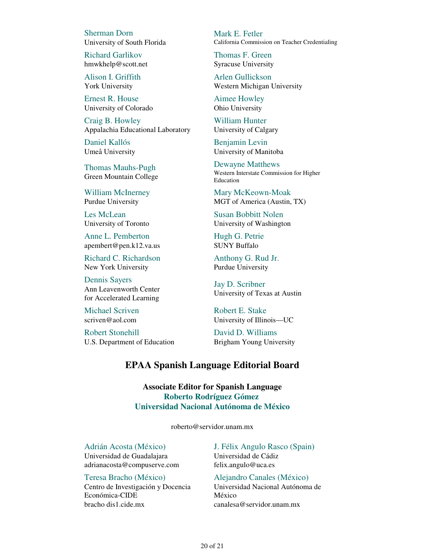Sherman Dorn University of South Florida

Richard Garlikov hmwkhelp@scott.net

Alison I. Griffith York University

Ernest R. House University of Colorado

Craig B. Howley Appalachia Educational Laboratory

Daniel Kallós Umeå University

Thomas Mauhs-Pugh Green Mountain College

William McInerney Purdue University

Les McLean University of Toronto

Anne L. Pemberton apembert@pen.k12.va.us

Richard C. Richardson New York University

Dennis Sayers Ann Leavenworth Center for Accelerated Learning

Michael Scriven scriven@aol.com

Robert Stonehill U.S. Department of Education Mark E. Fetler California Commission on Teacher Credentialing

Thomas F. Green Syracuse University

Arlen Gullickson Western Michigan University

Aimee Howley Ohio University

William Hunter University of Calgary

Benjamin Levin University of Manitoba

Dewayne Matthews Western Interstate Commission for Higher Education

Mary McKeown-Moak MGT of America (Austin, TX)

Susan Bobbitt Nolen University of Washington

Hugh G. Petrie SUNY Buffalo

Anthony G. Rud Jr. Purdue University

Jay D. Scribner University of Texas at Austin

Robert E. Stake University of Illinois—UC

David D. Williams Brigham Young University

## **EPAA Spanish Language Editorial Board**

**Associate Editor for Spanish Language Roberto Rodríguez Gómez Universidad Nacional Autónoma de México**

roberto@servidor.unam.mx

Adrián Acosta (México) Universidad de Guadalajara adrianacosta@compuserve.com

Teresa Bracho (México) Centro de Investigación y Docencia Económica-CIDE bracho dis1.cide.mx

J. Félix Angulo Rasco (Spain) Universidad de Cádiz felix.angulo@uca.es

Alejandro Canales (México) Universidad Nacional Autónoma de México canalesa@servidor.unam.mx